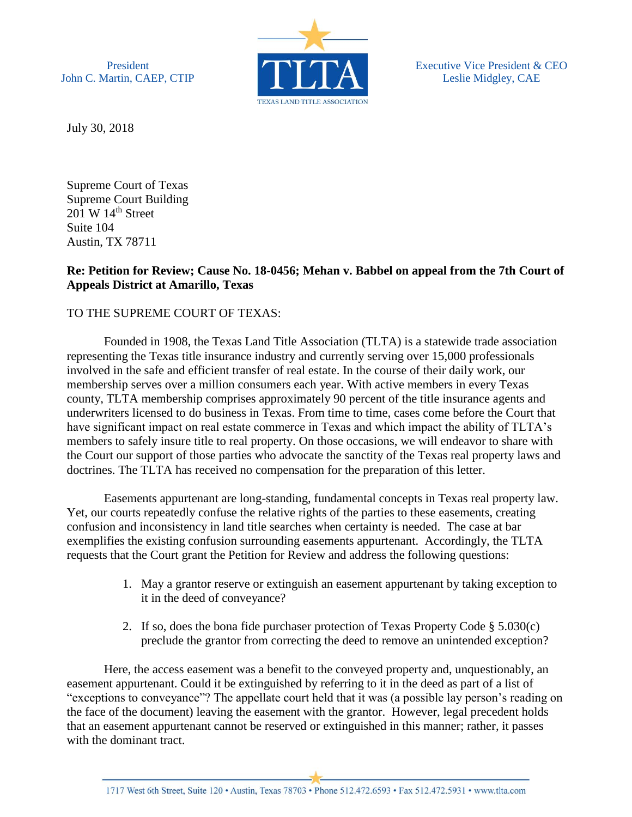President John C. Martin, CAEP, CTIP



Executive Vice President & CEO Leslie Midgley, CAE

July 30, 2018

Supreme Court of Texas Supreme Court Building  $201 \text{ W } 14^{\text{th}}$  Street Suite 104 Austin, TX 78711

## **Re: Petition for Review; Cause No. 18-0456; Mehan v. Babbel on appeal from the 7th Court of Appeals District at Amarillo, Texas**

## TO THE SUPREME COURT OF TEXAS:

Founded in 1908, the Texas Land Title Association (TLTA) is a statewide trade association representing the Texas title insurance industry and currently serving over 15,000 professionals involved in the safe and efficient transfer of real estate. In the course of their daily work, our membership serves over a million consumers each year. With active members in every Texas county, TLTA membership comprises approximately 90 percent of the title insurance agents and underwriters licensed to do business in Texas. From time to time, cases come before the Court that have significant impact on real estate commerce in Texas and which impact the ability of TLTA's members to safely insure title to real property. On those occasions, we will endeavor to share with the Court our support of those parties who advocate the sanctity of the Texas real property laws and doctrines. The TLTA has received no compensation for the preparation of this letter.

Easements appurtenant are long-standing, fundamental concepts in Texas real property law. Yet, our courts repeatedly confuse the relative rights of the parties to these easements, creating confusion and inconsistency in land title searches when certainty is needed. The case at bar exemplifies the existing confusion surrounding easements appurtenant. Accordingly, the TLTA requests that the Court grant the Petition for Review and address the following questions:

- 1. May a grantor reserve or extinguish an easement appurtenant by taking exception to it in the deed of conveyance?
- 2. If so, does the bona fide purchaser protection of Texas Property Code § 5.030(c) preclude the grantor from correcting the deed to remove an unintended exception?

Here, the access easement was a benefit to the conveyed property and, unquestionably, an easement appurtenant. Could it be extinguished by referring to it in the deed as part of a list of "exceptions to conveyance"? The appellate court held that it was (a possible lay person's reading on the face of the document) leaving the easement with the grantor. However, legal precedent holds that an easement appurtenant cannot be reserved or extinguished in this manner; rather, it passes with the dominant tract.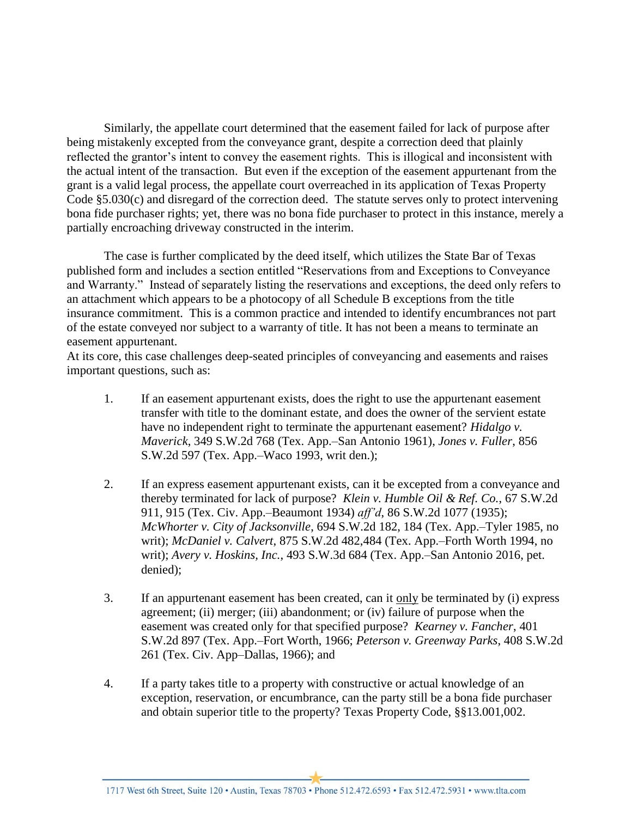Similarly, the appellate court determined that the easement failed for lack of purpose after being mistakenly excepted from the conveyance grant, despite a correction deed that plainly reflected the grantor's intent to convey the easement rights. This is illogical and inconsistent with the actual intent of the transaction. But even if the exception of the easement appurtenant from the grant is a valid legal process, the appellate court overreached in its application of Texas Property Code  $\S5.030(c)$  and disregard of the correction deed. The statute serves only to protect intervening bona fide purchaser rights; yet, there was no bona fide purchaser to protect in this instance, merely a partially encroaching driveway constructed in the interim.

The case is further complicated by the deed itself, which utilizes the State Bar of Texas published form and includes a section entitled "Reservations from and Exceptions to Conveyance and Warranty." Instead of separately listing the reservations and exceptions, the deed only refers to an attachment which appears to be a photocopy of all Schedule B exceptions from the title insurance commitment. This is a common practice and intended to identify encumbrances not part of the estate conveyed nor subject to a warranty of title. It has not been a means to terminate an easement appurtenant.

At its core, this case challenges deep-seated principles of conveyancing and easements and raises important questions, such as:

- 1. If an easement appurtenant exists, does the right to use the appurtenant easement transfer with title to the dominant estate, and does the owner of the servient estate have no independent right to terminate the appurtenant easement? *Hidalgo v. Maverick*, 349 S.W.2d 768 (Tex. App.–San Antonio 1961), *Jones v. Fuller*, 856 S.W.2d 597 (Tex. App.–Waco 1993, writ den.);
- 2. If an express easement appurtenant exists, can it be excepted from a conveyance and thereby terminated for lack of purpose? *Klein v. Humble Oil & Ref. Co.*, 67 S.W.2d 911, 915 (Tex. Civ. App.–Beaumont 1934) *aff'd*, 86 S.W.2d 1077 (1935); *McWhorter v. City of Jacksonville*, 694 S.W.2d 182, 184 (Tex. App.–Tyler 1985, no writ); *McDaniel v. Calvert*, 875 S.W.2d 482,484 (Tex. App.–Forth Worth 1994, no writ); *Avery v. Hoskins, Inc.*, 493 S.W.3d 684 (Tex. App.–San Antonio 2016, pet. denied);
- 3. If an appurtenant easement has been created, can it only be terminated by (i) express agreement; (ii) merger; (iii) abandonment; or (iv) failure of purpose when the easement was created only for that specified purpose? *Kearney v. Fancher*, 401 S.W.2d 897 (Tex. App.–Fort Worth, 1966; *Peterson v. Greenway Parks*, 408 S.W.2d 261 (Tex. Civ. App–Dallas, 1966); and
- 4. If a party takes title to a property with constructive or actual knowledge of an exception, reservation, or encumbrance, can the party still be a bona fide purchaser and obtain superior title to the property? Texas Property Code, §§13.001,002.

1717 West 6th Street, Suite 120 · Austin, Texas 78703 · Phone 512.472.6593 · Fax 512.472.5931 · www.tlta.com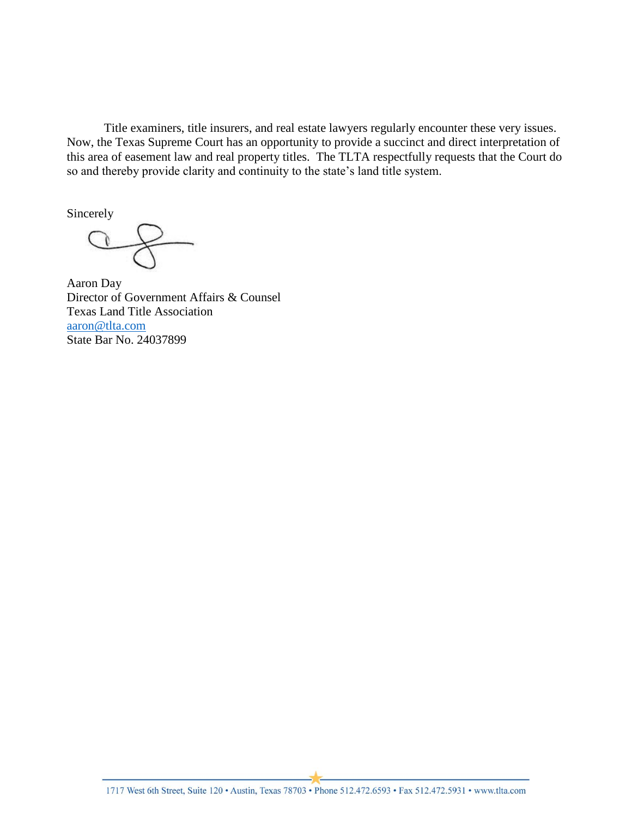Title examiners, title insurers, and real estate lawyers regularly encounter these very issues. Now, the Texas Supreme Court has an opportunity to provide a succinct and direct interpretation of this area of easement law and real property titles. The TLTA respectfully requests that the Court do so and thereby provide clarity and continuity to the state's land title system.

Sincerely

Aaron Day Director of Government Affairs & Counsel Texas Land Title Association [aaron@tlta.com](mailto:aaron@tlta.com) State Bar No. 24037899